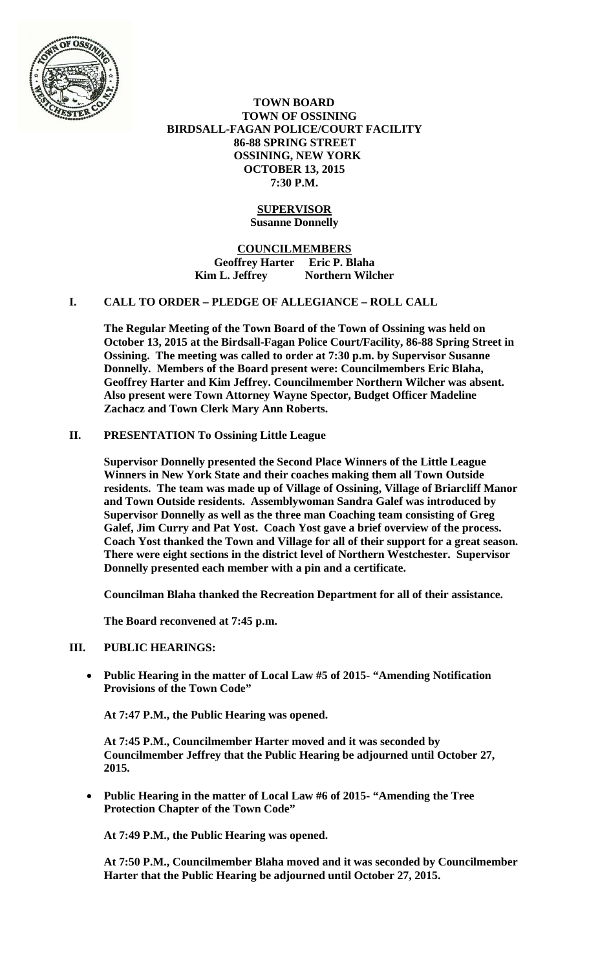

 **TOWN BOARD TOWN OF OSSINING BIRDSALL-FAGAN POLICE/COURT FACILITY 86-88 SPRING STREET OSSINING, NEW YORK OCTOBER 13, 2015 7:30 P.M.** 

## **SUPERVISOR Susanne Donnelly**

**COUNCILMEMBERS Geoffrey Harter Eric P. Blaha**  Kim L. Jeffrey **Northern Wilcher** 

### **I. CALL TO ORDER – PLEDGE OF ALLEGIANCE – ROLL CALL**

**The Regular Meeting of the Town Board of the Town of Ossining was held on October 13, 2015 at the Birdsall-Fagan Police Court/Facility, 86-88 Spring Street in Ossining. The meeting was called to order at 7:30 p.m. by Supervisor Susanne Donnelly. Members of the Board present were: Councilmembers Eric Blaha, Geoffrey Harter and Kim Jeffrey. Councilmember Northern Wilcher was absent. Also present were Town Attorney Wayne Spector, Budget Officer Madeline Zachacz and Town Clerk Mary Ann Roberts.** 

# **II. PRESENTATION To Ossining Little League**

**Supervisor Donnelly presented the Second Place Winners of the Little League Winners in New York State and their coaches making them all Town Outside residents. The team was made up of Village of Ossining, Village of Briarcliff Manor and Town Outside residents. Assemblywoman Sandra Galef was introduced by Supervisor Donnelly as well as the three man Coaching team consisting of Greg Galef, Jim Curry and Pat Yost. Coach Yost gave a brief overview of the process. Coach Yost thanked the Town and Village for all of their support for a great season. There were eight sections in the district level of Northern Westchester. Supervisor Donnelly presented each member with a pin and a certificate.** 

**Councilman Blaha thanked the Recreation Department for all of their assistance.** 

**The Board reconvened at 7:45 p.m.** 

## **III. PUBLIC HEARINGS:**

 **Public Hearing in the matter of Local Law #5 of 2015- "Amending Notification Provisions of the Town Code"** 

**At 7:47 P.M., the Public Hearing was opened.** 

**At 7:45 P.M., Councilmember Harter moved and it was seconded by Councilmember Jeffrey that the Public Hearing be adjourned until October 27, 2015.**

 **Public Hearing in the matter of Local Law #6 of 2015- "Amending the Tree Protection Chapter of the Town Code"** 

**At 7:49 P.M., the Public Hearing was opened.** 

**At 7:50 P.M., Councilmember Blaha moved and it was seconded by Councilmember Harter that the Public Hearing be adjourned until October 27, 2015.**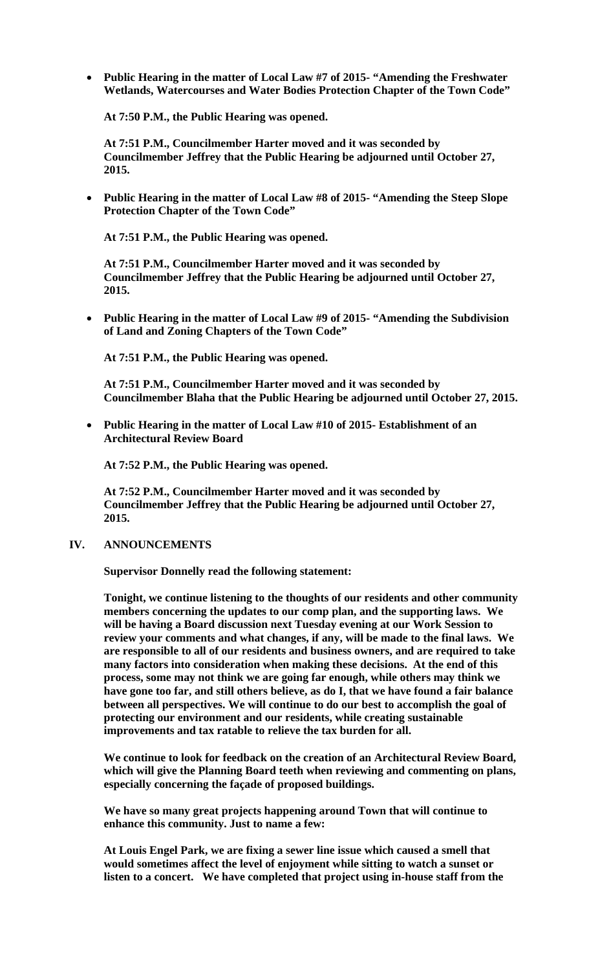**Public Hearing in the matter of Local Law #7 of 2015- "Amending the Freshwater Wetlands, Watercourses and Water Bodies Protection Chapter of the Town Code"** 

**At 7:50 P.M., the Public Hearing was opened.** 

**At 7:51 P.M., Councilmember Harter moved and it was seconded by Councilmember Jeffrey that the Public Hearing be adjourned until October 27, 2015.**

 **Public Hearing in the matter of Local Law #8 of 2015- "Amending the Steep Slope Protection Chapter of the Town Code"** 

**At 7:51 P.M., the Public Hearing was opened.** 

**At 7:51 P.M., Councilmember Harter moved and it was seconded by Councilmember Jeffrey that the Public Hearing be adjourned until October 27, 2015.**

 **Public Hearing in the matter of Local Law #9 of 2015- "Amending the Subdivision of Land and Zoning Chapters of the Town Code"**

**At 7:51 P.M., the Public Hearing was opened.** 

**At 7:51 P.M., Councilmember Harter moved and it was seconded by Councilmember Blaha that the Public Hearing be adjourned until October 27, 2015.**

 **Public Hearing in the matter of Local Law #10 of 2015- Establishment of an Architectural Review Board**

**At 7:52 P.M., the Public Hearing was opened.** 

**At 7:52 P.M., Councilmember Harter moved and it was seconded by Councilmember Jeffrey that the Public Hearing be adjourned until October 27, 2015.**

### **IV. ANNOUNCEMENTS**

**Supervisor Donnelly read the following statement:** 

**Tonight, we continue listening to the thoughts of our residents and other community members concerning the updates to our comp plan, and the supporting laws. We will be having a Board discussion next Tuesday evening at our Work Session to review your comments and what changes, if any, will be made to the final laws. We are responsible to all of our residents and business owners, and are required to take many factors into consideration when making these decisions. At the end of this process, some may not think we are going far enough, while others may think we have gone too far, and still others believe, as do I, that we have found a fair balance between all perspectives. We will continue to do our best to accomplish the goal of protecting our environment and our residents, while creating sustainable improvements and tax ratable to relieve the tax burden for all.** 

**We continue to look for feedback on the creation of an Architectural Review Board, which will give the Planning Board teeth when reviewing and commenting on plans, especially concerning the façade of proposed buildings.** 

**We have so many great projects happening around Town that will continue to enhance this community. Just to name a few:** 

**At Louis Engel Park, we are fixing a sewer line issue which caused a smell that would sometimes affect the level of enjoyment while sitting to watch a sunset or listen to a concert. We have completed that project using in-house staff from the**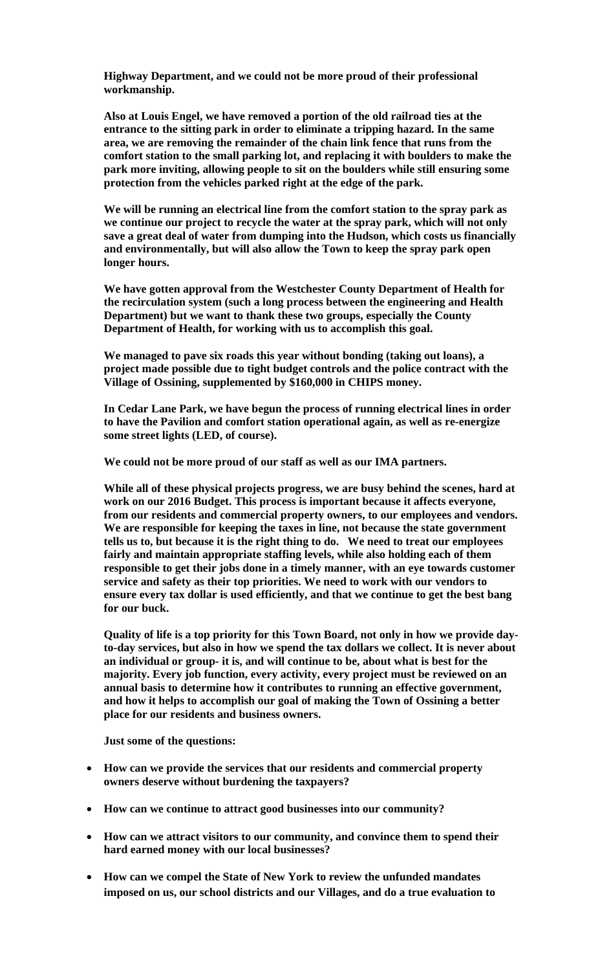**Highway Department, and we could not be more proud of their professional workmanship.** 

**Also at Louis Engel, we have removed a portion of the old railroad ties at the entrance to the sitting park in order to eliminate a tripping hazard. In the same area, we are removing the remainder of the chain link fence that runs from the comfort station to the small parking lot, and replacing it with boulders to make the park more inviting, allowing people to sit on the boulders while still ensuring some protection from the vehicles parked right at the edge of the park.** 

**We will be running an electrical line from the comfort station to the spray park as we continue our project to recycle the water at the spray park, which will not only save a great deal of water from dumping into the Hudson, which costs us financially and environmentally, but will also allow the Town to keep the spray park open longer hours.** 

**We have gotten approval from the Westchester County Department of Health for the recirculation system (such a long process between the engineering and Health Department) but we want to thank these two groups, especially the County Department of Health, for working with us to accomplish this goal.** 

**We managed to pave six roads this year without bonding (taking out loans), a project made possible due to tight budget controls and the police contract with the Village of Ossining, supplemented by \$160,000 in CHIPS money.** 

**In Cedar Lane Park, we have begun the process of running electrical lines in order to have the Pavilion and comfort station operational again, as well as re-energize some street lights (LED, of course).** 

**We could not be more proud of our staff as well as our IMA partners.** 

**While all of these physical projects progress, we are busy behind the scenes, hard at work on our 2016 Budget. This process is important because it affects everyone, from our residents and commercial property owners, to our employees and vendors. We are responsible for keeping the taxes in line, not because the state government tells us to, but because it is the right thing to do. We need to treat our employees fairly and maintain appropriate staffing levels, while also holding each of them responsible to get their jobs done in a timely manner, with an eye towards customer service and safety as their top priorities. We need to work with our vendors to ensure every tax dollar is used efficiently, and that we continue to get the best bang for our buck.** 

**Quality of life is a top priority for this Town Board, not only in how we provide dayto-day services, but also in how we spend the tax dollars we collect. It is never about an individual or group- it is, and will continue to be, about what is best for the majority. Every job function, every activity, every project must be reviewed on an annual basis to determine how it contributes to running an effective government, and how it helps to accomplish our goal of making the Town of Ossining a better place for our residents and business owners.** 

**Just some of the questions:** 

- **How can we provide the services that our residents and commercial property owners deserve without burdening the taxpayers?**
- **How can we continue to attract good businesses into our community?**
- **How can we attract visitors to our community, and convince them to spend their hard earned money with our local businesses?**
- **How can we compel the State of New York to review the unfunded mandates imposed on us, our school districts and our Villages, and do a true evaluation to**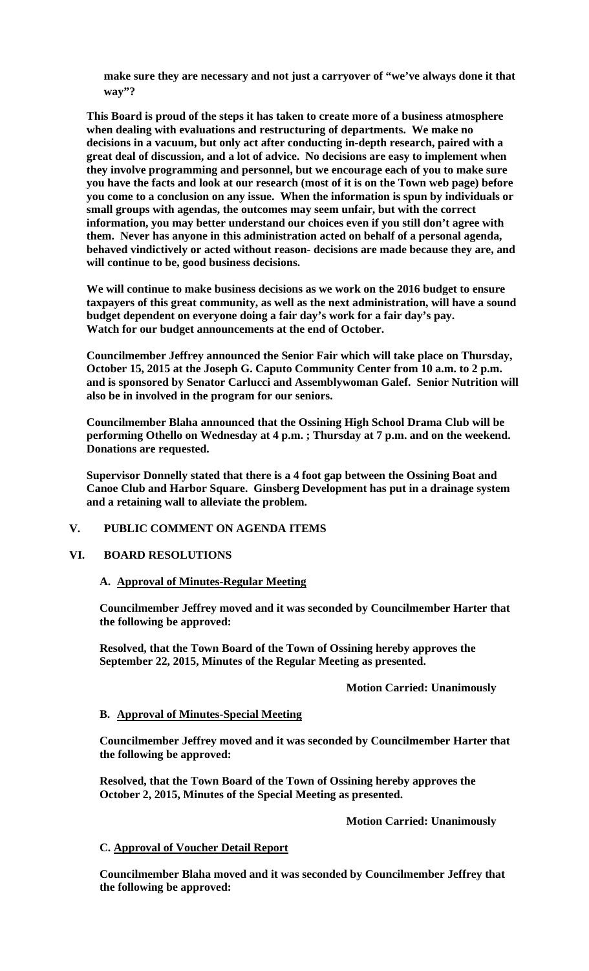**make sure they are necessary and not just a carryover of "we've always done it that way"?** 

**This Board is proud of the steps it has taken to create more of a business atmosphere when dealing with evaluations and restructuring of departments. We make no decisions in a vacuum, but only act after conducting in-depth research, paired with a great deal of discussion, and a lot of advice. No decisions are easy to implement when they involve programming and personnel, but we encourage each of you to make sure you have the facts and look at our research (most of it is on the Town web page) before you come to a conclusion on any issue. When the information is spun by individuals or small groups with agendas, the outcomes may seem unfair, but with the correct information, you may better understand our choices even if you still don't agree with them. Never has anyone in this administration acted on behalf of a personal agenda, behaved vindictively or acted without reason- decisions are made because they are, and will continue to be, good business decisions.** 

**We will continue to make business decisions as we work on the 2016 budget to ensure taxpayers of this great community, as well as the next administration, will have a sound budget dependent on everyone doing a fair day's work for a fair day's pay. Watch for our budget announcements at the end of October.** 

**Councilmember Jeffrey announced the Senior Fair which will take place on Thursday, October 15, 2015 at the Joseph G. Caputo Community Center from 10 a.m. to 2 p.m. and is sponsored by Senator Carlucci and Assemblywoman Galef. Senior Nutrition will also be in involved in the program for our seniors.** 

**Councilmember Blaha announced that the Ossining High School Drama Club will be performing Othello on Wednesday at 4 p.m. ; Thursday at 7 p.m. and on the weekend. Donations are requested.** 

**Supervisor Donnelly stated that there is a 4 foot gap between the Ossining Boat and Canoe Club and Harbor Square. Ginsberg Development has put in a drainage system and a retaining wall to alleviate the problem.** 

#### **V. PUBLIC COMMENT ON AGENDA ITEMS**

## **VI. BOARD RESOLUTIONS**

#### **A. Approval of Minutes-Regular Meeting**

**Councilmember Jeffrey moved and it was seconded by Councilmember Harter that the following be approved:** 

**Resolved, that the Town Board of the Town of Ossining hereby approves the September 22, 2015, Minutes of the Regular Meeting as presented.** 

#### **Motion Carried: Unanimously**

#### **B. Approval of Minutes-Special Meeting**

**Councilmember Jeffrey moved and it was seconded by Councilmember Harter that the following be approved:** 

**Resolved, that the Town Board of the Town of Ossining hereby approves the October 2, 2015, Minutes of the Special Meeting as presented.** 

 **Motion Carried: Unanimously** 

#### **C. Approval of Voucher Detail Report**

**Councilmember Blaha moved and it was seconded by Councilmember Jeffrey that the following be approved:**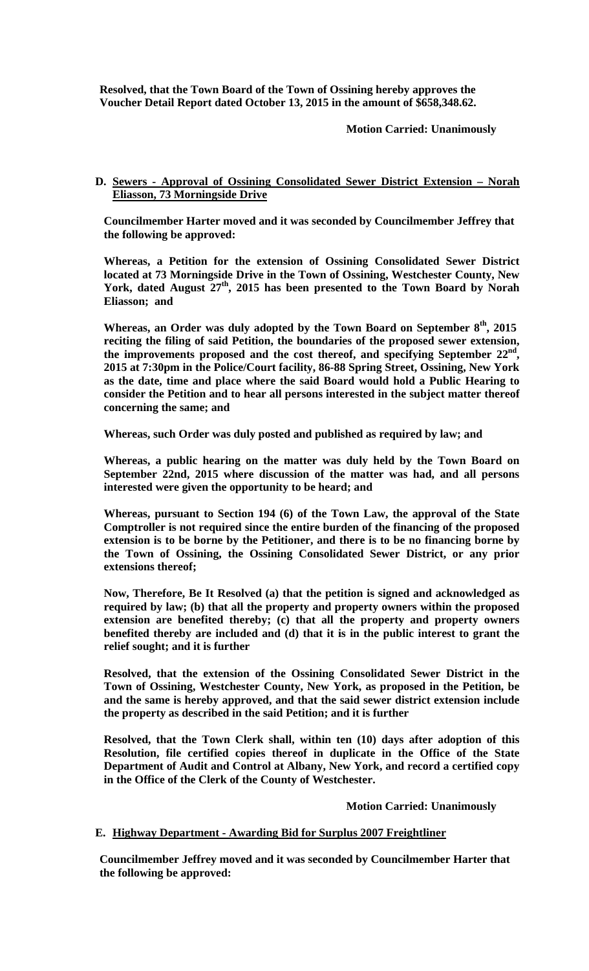**Resolved, that the Town Board of the Town of Ossining hereby approves the Voucher Detail Report dated October 13, 2015 in the amount of \$658,348.62.** 

 **Motion Carried: Unanimously** 

## **D. Sewers - Approval of Ossining Consolidated Sewer District Extension – Norah Eliasson, 73 Morningside Drive**

**Councilmember Harter moved and it was seconded by Councilmember Jeffrey that the following be approved:** 

**Whereas, a Petition for the extension of Ossining Consolidated Sewer District located at 73 Morningside Drive in the Town of Ossining, Westchester County, New York, dated August 27th, 2015 has been presented to the Town Board by Norah Eliasson; and** 

**Whereas, an Order was duly adopted by the Town Board on September 8th, 2015 reciting the filing of said Petition, the boundaries of the proposed sewer extension,**  the improvements proposed and the cost thereof, and specifying September 22<sup>nd</sup>, **2015 at 7:30pm in the Police/Court facility, 86-88 Spring Street, Ossining, New York as the date, time and place where the said Board would hold a Public Hearing to consider the Petition and to hear all persons interested in the subject matter thereof concerning the same; and** 

**Whereas, such Order was duly posted and published as required by law; and** 

**Whereas, a public hearing on the matter was duly held by the Town Board on September 22nd, 2015 where discussion of the matter was had, and all persons interested were given the opportunity to be heard; and** 

**Whereas, pursuant to Section 194 (6) of the Town Law, the approval of the State Comptroller is not required since the entire burden of the financing of the proposed extension is to be borne by the Petitioner, and there is to be no financing borne by the Town of Ossining, the Ossining Consolidated Sewer District, or any prior extensions thereof;** 

**Now, Therefore, Be It Resolved (a) that the petition is signed and acknowledged as required by law; (b) that all the property and property owners within the proposed extension are benefited thereby; (c) that all the property and property owners benefited thereby are included and (d) that it is in the public interest to grant the relief sought; and it is further** 

**Resolved, that the extension of the Ossining Consolidated Sewer District in the Town of Ossining, Westchester County, New York, as proposed in the Petition, be and the same is hereby approved, and that the said sewer district extension include the property as described in the said Petition; and it is further** 

**Resolved, that the Town Clerk shall, within ten (10) days after adoption of this Resolution, file certified copies thereof in duplicate in the Office of the State Department of Audit and Control at Albany, New York, and record a certified copy in the Office of the Clerk of the County of Westchester.** 

 **Motion Carried: Unanimously** 

## **E. Highway Department - Awarding Bid for Surplus 2007 Freightliner**

**Councilmember Jeffrey moved and it was seconded by Councilmember Harter that the following be approved:**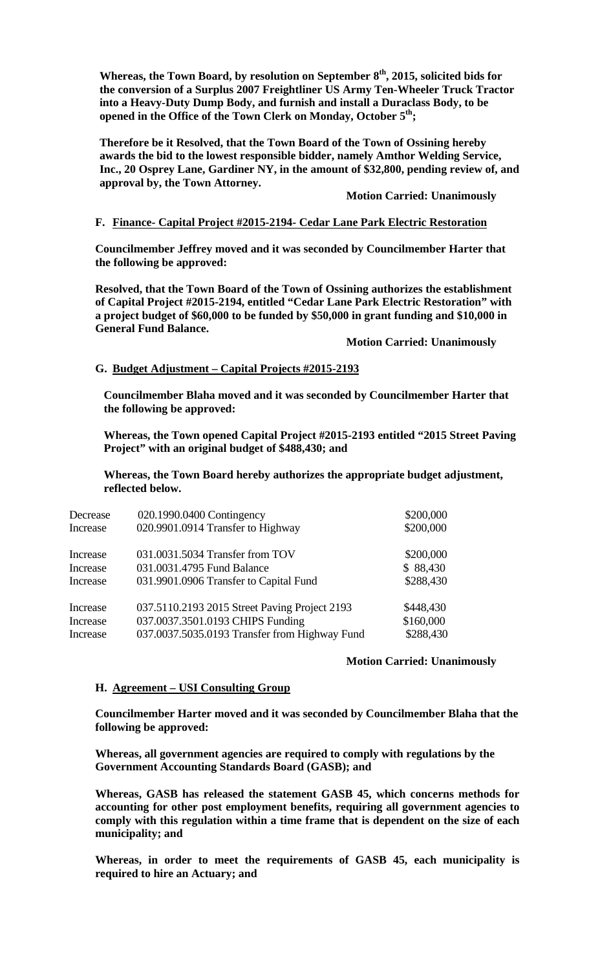**Whereas, the Town Board, by resolution on September 8th, 2015, solicited bids for the conversion of a Surplus 2007 Freightliner US Army Ten-Wheeler Truck Tractor into a Heavy-Duty Dump Body, and furnish and install a Duraclass Body, to be**  opened in the Office of the Town Clerk on Monday, October 5<sup>th</sup>;

**Therefore be it Resolved, that the Town Board of the Town of Ossining hereby awards the bid to the lowest responsible bidder, namely Amthor Welding Service, Inc., 20 Osprey Lane, Gardiner NY, in the amount of \$32,800, pending review of, and approval by, the Town Attorney.** 

### **Motion Carried: Unanimously**

## **F. Finance- Capital Project #2015-2194- Cedar Lane Park Electric Restoration**

**Councilmember Jeffrey moved and it was seconded by Councilmember Harter that the following be approved:** 

**Resolved, that the Town Board of the Town of Ossining authorizes the establishment of Capital Project #2015-2194, entitled "Cedar Lane Park Electric Restoration" with a project budget of \$60,000 to be funded by \$50,000 in grant funding and \$10,000 in General Fund Balance.** 

 **Motion Carried: Unanimously** 

## **G. Budget Adjustment – Capital Projects #2015-2193**

**Councilmember Blaha moved and it was seconded by Councilmember Harter that the following be approved:** 

**Whereas, the Town opened Capital Project #2015-2193 entitled "2015 Street Paving Project" with an original budget of \$488,430; and** 

**Whereas, the Town Board hereby authorizes the appropriate budget adjustment, reflected below.** 

| Decrease<br>Increase | 020.1990.0400 Contingency<br>020.9901.0914 Transfer to Highway | \$200,000<br>\$200,000 |
|----------------------|----------------------------------------------------------------|------------------------|
|                      |                                                                |                        |
| Increase             | 031.0031.5034 Transfer from TOV                                | \$200,000              |
| Increase             | 031.0031.4795 Fund Balance                                     | \$88,430               |
| Increase             | 031.9901.0906 Transfer to Capital Fund                         | \$288,430              |
| Increase             | 037.5110.2193 2015 Street Paving Project 2193                  | \$448,430              |
| Increase             | 037.0037.3501.0193 CHIPS Funding                               | \$160,000              |
| Increase             | 037.0037.5035.0193 Transfer from Highway Fund                  | \$288,430              |

#### **Motion Carried: Unanimously**

## **H. Agreement – USI Consulting Group**

**Councilmember Harter moved and it was seconded by Councilmember Blaha that the following be approved:** 

**Whereas, all government agencies are required to comply with regulations by the Government Accounting Standards Board (GASB); and** 

**Whereas, GASB has released the statement GASB 45, which concerns methods for accounting for other post employment benefits, requiring all government agencies to comply with this regulation within a time frame that is dependent on the size of each municipality; and** 

**Whereas, in order to meet the requirements of GASB 45, each municipality is required to hire an Actuary; and**